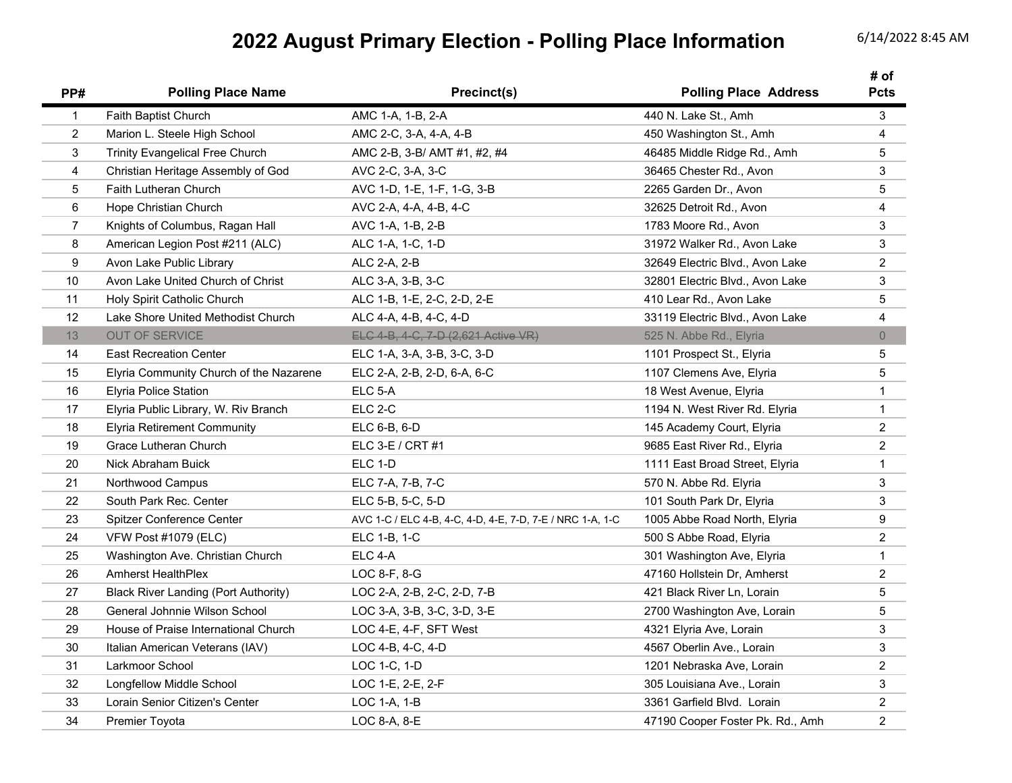## **2022 August Primary Election - Polling Place Information** 6/14/2022 8:45 AM

| PP#            | <b>Polling Place Name</b>                   | Precinct(s)                                               | <b>Polling Place Address</b>     | # of<br><b>Pcts</b>     |
|----------------|---------------------------------------------|-----------------------------------------------------------|----------------------------------|-------------------------|
| $\mathbf{1}$   | Faith Baptist Church                        | AMC 1-A, 1-B, 2-A                                         | 440 N. Lake St., Amh             | 3                       |
| $\overline{2}$ | Marion L. Steele High School                | AMC 2-C, 3-A, 4-A, 4-B                                    | 450 Washington St., Amh          | 4                       |
| 3              | <b>Trinity Evangelical Free Church</b>      | AMC 2-B, 3-B/ AMT #1, #2, #4                              | 46485 Middle Ridge Rd., Amh      | 5                       |
| 4              | Christian Heritage Assembly of God          | AVC 2-C, 3-A, 3-C                                         | 36465 Chester Rd., Avon          | 3                       |
| 5              | <b>Faith Lutheran Church</b>                | AVC 1-D, 1-E, 1-F, 1-G, 3-B                               | 2265 Garden Dr., Avon            | 5                       |
| 6              | Hope Christian Church                       | AVC 2-A, 4-A, 4-B, 4-C                                    | 32625 Detroit Rd., Avon          | $\overline{\mathbf{4}}$ |
| 7              | Knights of Columbus, Ragan Hall             | AVC 1-A, 1-B, 2-B                                         | 1783 Moore Rd., Avon             | $\mathbf{3}$            |
| 8              | American Legion Post #211 (ALC)             | ALC 1-A, 1-C, 1-D                                         | 31972 Walker Rd., Avon Lake      | 3                       |
| 9              | Avon Lake Public Library                    | ALC 2-A, 2-B                                              | 32649 Electric Blvd., Avon Lake  | $\overline{2}$          |
| 10             | Avon Lake United Church of Christ           | ALC 3-A, 3-B, 3-C                                         | 32801 Electric Blvd., Avon Lake  | $\mathbf{3}$            |
| 11             | Holy Spirit Catholic Church                 | ALC 1-B, 1-E, 2-C, 2-D, 2-E                               | 410 Lear Rd., Avon Lake          | 5                       |
| 12             | Lake Shore United Methodist Church          | ALC 4-A, 4-B, 4-C, 4-D                                    | 33119 Electric Blvd., Avon Lake  | 4                       |
| 13             | <b>OUT OF SERVICE</b>                       | ELC 4-B, 4-C, 7-D (2,621 Active VR)                       | 525 N. Abbe Rd., Elyria          | $\overline{0}$          |
| 14             | <b>East Recreation Center</b>               | ELC 1-A, 3-A, 3-B, 3-C, 3-D                               | 1101 Prospect St., Elyria        | $\overline{5}$          |
| 15             | Elyria Community Church of the Nazarene     | ELC 2-A, 2-B, 2-D, 6-A, 6-C                               | 1107 Clemens Ave, Elyria         | 5                       |
| 16             | <b>Elyria Police Station</b>                | ELC 5-A                                                   | 18 West Avenue, Elyria           | $\mathbf{1}$            |
| 17             | Elyria Public Library, W. Riv Branch        | ELC 2-C                                                   | 1194 N. West River Rd. Elyria    | $\mathbf{1}$            |
| 18             | <b>Elyria Retirement Community</b>          | ELC 6-B, 6-D                                              | 145 Academy Court, Elyria        | $\overline{2}$          |
| 19             | Grace Lutheran Church                       | ELC 3-E / CRT $#1$                                        | 9685 East River Rd., Elyria      | $\overline{2}$          |
| 20             | Nick Abraham Buick                          | ELC 1-D                                                   | 1111 East Broad Street, Elyria   | $\mathbf{1}$            |
| 21             | Northwood Campus                            | ELC 7-A, 7-B, 7-C                                         | 570 N. Abbe Rd. Elyria           | 3                       |
| 22             | South Park Rec. Center                      | ELC 5-B, 5-C, 5-D                                         | 101 South Park Dr, Elyria        | 3                       |
| 23             | Spitzer Conference Center                   | AVC 1-C / ELC 4-B, 4-C, 4-D, 4-E, 7-D, 7-E / NRC 1-A, 1-C | 1005 Abbe Road North, Elyria     | 9                       |
| 24             | <b>VFW Post #1079 (ELC)</b>                 | ELC 1-B, 1-C                                              | 500 S Abbe Road, Elyria          | $\overline{2}$          |
| 25             | Washington Ave. Christian Church            | ELC 4-A                                                   | 301 Washington Ave, Elyria       | $\mathbf{1}$            |
| 26             | <b>Amherst HealthPlex</b>                   | $LOC 8-F, 8-G$                                            | 47160 Hollstein Dr, Amherst      | $\overline{2}$          |
| 27             | <b>Black River Landing (Port Authority)</b> | LOC 2-A, 2-B, 2-C, 2-D, 7-B                               | 421 Black River Ln, Lorain       | 5                       |
| 28             | General Johnnie Wilson School               | LOC 3-A, 3-B, 3-C, 3-D, 3-E                               | 2700 Washington Ave, Lorain      | 5                       |
| 29             | House of Praise International Church        | LOC 4-E, 4-F, SFT West                                    | 4321 Elyria Ave, Lorain          | 3                       |
| 30             | Italian American Veterans (IAV)             | $LOC 4-B, 4-C, 4-D$                                       | 4567 Oberlin Ave., Lorain        | 3                       |
| 31             | Larkmoor School                             | LOC 1-C, 1-D                                              | 1201 Nebraska Ave, Lorain        | $\overline{2}$          |
| 32             | Longfellow Middle School                    | LOC 1-E, 2-E, 2-F                                         | 305 Louisiana Ave., Lorain       | 3                       |
| 33             | Lorain Senior Citizen's Center              | LOC 1-A, 1-B                                              | 3361 Garfield Blvd. Lorain       | $\overline{c}$          |
| 34             | <b>Premier Toyota</b>                       | LOC 8-A, 8-E                                              | 47190 Cooper Foster Pk. Rd., Amh | $\overline{c}$          |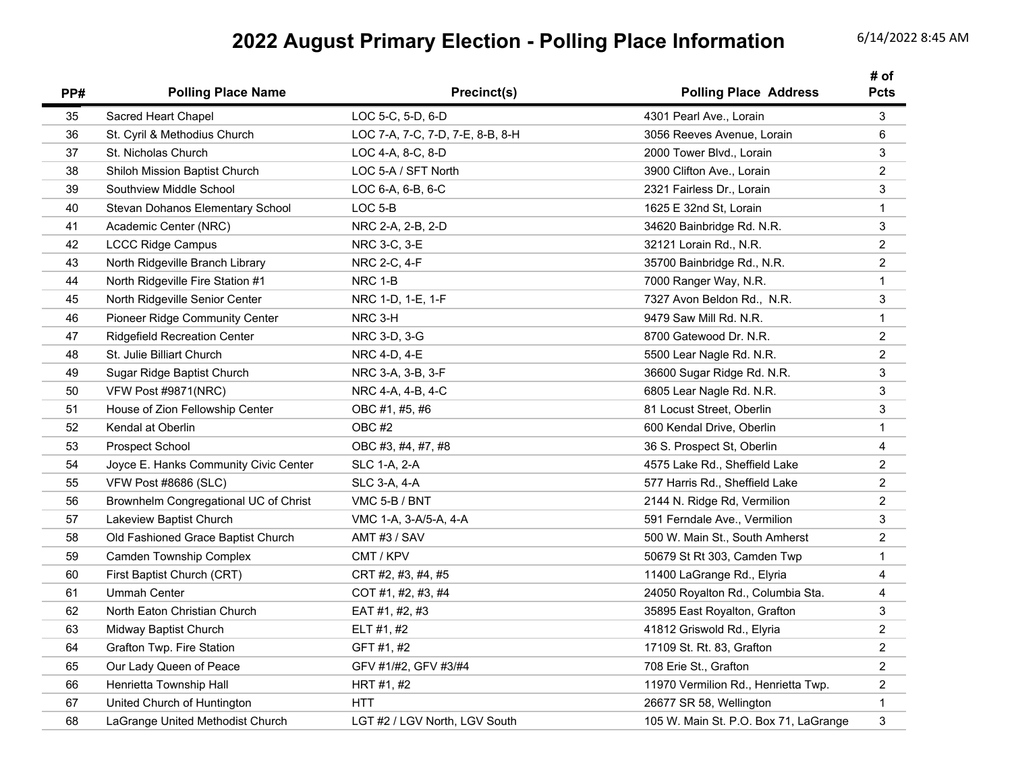## **2022 August Primary Election - Polling Place Information** 6/14/2022 8:45 AM

| PP# | <b>Polling Place Name</b>             | Precinct(s)                      | <b>Polling Place Address</b>          | # of<br>Pcts            |
|-----|---------------------------------------|----------------------------------|---------------------------------------|-------------------------|
| 35  | Sacred Heart Chapel                   | LOC 5-C, 5-D, 6-D                | 4301 Pearl Ave., Lorain               | 3                       |
| 36  | St. Cyril & Methodius Church          | LOC 7-A, 7-C, 7-D, 7-E, 8-B, 8-H | 3056 Reeves Avenue, Lorain            | 6                       |
| 37  | St. Nicholas Church                   | LOC 4-A, 8-C, 8-D                | 2000 Tower Blvd., Lorain              | 3                       |
| 38  | Shiloh Mission Baptist Church         | LOC 5-A / SFT North              | 3900 Clifton Ave., Lorain             | $\overline{c}$          |
| 39  | Southview Middle School               | LOC 6-A, 6-B, 6-C                | 2321 Fairless Dr., Lorain             | 3                       |
| 40  | Stevan Dohanos Elementary School      | $LOC 5-B$                        | 1625 E 32nd St, Lorain                | $\mathbf{1}$            |
| 41  | Academic Center (NRC)                 | NRC 2-A, 2-B, 2-D                | 34620 Bainbridge Rd. N.R.             | $\sqrt{3}$              |
| 42  | <b>LCCC Ridge Campus</b>              | NRC 3-C, 3-E                     | 32121 Lorain Rd., N.R.                | $\boldsymbol{2}$        |
| 43  | North Ridgeville Branch Library       | NRC 2-C, 4-F                     | 35700 Bainbridge Rd., N.R.            | $\overline{2}$          |
| 44  | North Ridgeville Fire Station #1      | NRC 1-B                          | 7000 Ranger Way, N.R.                 | $\mathbf{1}$            |
| 45  | North Ridgeville Senior Center        | NRC 1-D, 1-E, 1-F                | 7327 Avon Beldon Rd., N.R.            | 3                       |
| 46  | <b>Pioneer Ridge Community Center</b> | NRC 3-H                          | 9479 Saw Mill Rd. N.R.                | $\mathbf{1}$            |
| 47  | <b>Ridgefield Recreation Center</b>   | NRC 3-D, 3-G                     | 8700 Gatewood Dr. N.R.                | $\overline{2}$          |
| 48  | St. Julie Billiart Church             | NRC 4-D, 4-E                     | 5500 Lear Nagle Rd. N.R.              | $\overline{2}$          |
| 49  | Sugar Ridge Baptist Church            | NRC 3-A, 3-B, 3-F                | 36600 Sugar Ridge Rd. N.R.            | $\mathbf{3}$            |
| 50  | VFW Post #9871(NRC)                   | NRC 4-A, 4-B, 4-C                | 6805 Lear Nagle Rd. N.R.              | 3                       |
| 51  | House of Zion Fellowship Center       | OBC #1, #5, #6                   | 81 Locust Street, Oberlin             | 3                       |
| 52  | Kendal at Oberlin                     | OBC #2                           | 600 Kendal Drive, Oberlin             | $\mathbf{1}$            |
| 53  | Prospect School                       | OBC #3, #4, #7, #8               | 36 S. Prospect St, Oberlin            | $\overline{\mathbf{4}}$ |
| 54  | Joyce E. Hanks Community Civic Center | <b>SLC 1-A, 2-A</b>              | 4575 Lake Rd., Sheffield Lake         | $\overline{2}$          |
| 55  | VFW Post #8686 (SLC)                  | <b>SLC 3-A, 4-A</b>              | 577 Harris Rd., Sheffield Lake        | $\overline{2}$          |
| 56  | Brownhelm Congregational UC of Christ | VMC 5-B / BNT                    | 2144 N. Ridge Rd, Vermilion           | $\overline{2}$          |
| 57  | Lakeview Baptist Church               | VMC 1-A, 3-A/5-A, 4-A            | 591 Ferndale Ave., Vermilion          | $\mathbf{3}$            |
| 58  | Old Fashioned Grace Baptist Church    | AMT #3 / SAV                     | 500 W. Main St., South Amherst        | $\overline{2}$          |
| 59  | <b>Camden Township Complex</b>        | CMT / KPV                        | 50679 St Rt 303, Camden Twp           | $\mathbf{1}$            |
| 60  | First Baptist Church (CRT)            | CRT #2, #3, #4, #5               | 11400 LaGrange Rd., Elyria            | 4                       |
| 61  | <b>Ummah Center</b>                   | COT #1, #2, #3, #4               | 24050 Royalton Rd., Columbia Sta.     | 4                       |
| 62  | North Eaton Christian Church          | EAT #1, #2, #3                   | 35895 East Royalton, Grafton          | 3                       |
| 63  | Midway Baptist Church                 | ELT #1, #2                       | 41812 Griswold Rd., Elyria            | $\overline{c}$          |
| 64  | Grafton Twp. Fire Station             | GFT #1, #2                       | 17109 St. Rt. 83, Grafton             | $\overline{c}$          |
| 65  | Our Lady Queen of Peace               | GFV #1/#2, GFV #3/#4             | 708 Erie St., Grafton                 | $\overline{c}$          |
| 66  | Henrietta Township Hall               | HRT #1, #2                       | 11970 Vermilion Rd., Henrietta Twp.   | $\overline{c}$          |
| 67  | United Church of Huntington           | HTT                              | 26677 SR 58, Wellington               | $\mathbf{1}$            |
| 68  | LaGrange United Methodist Church      | LGT #2 / LGV North, LGV South    | 105 W. Main St. P.O. Box 71, LaGrange | $\mathsf 3$             |